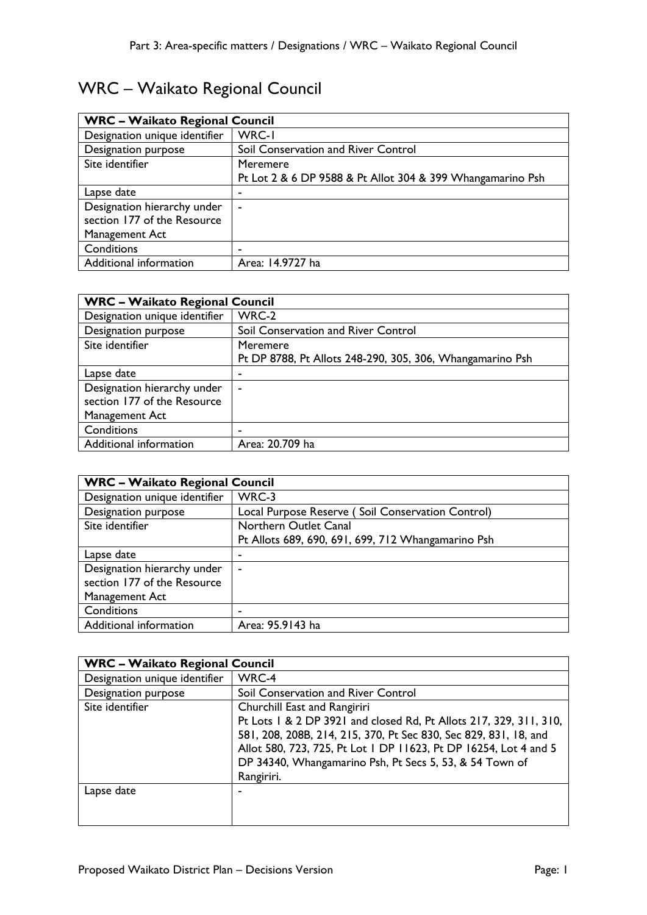## WRC – Waikato Regional Council

| <b>WRC - Waikato Regional Council</b> |                                                            |
|---------------------------------------|------------------------------------------------------------|
| Designation unique identifier         | WRC-I                                                      |
| Designation purpose                   | Soil Conservation and River Control                        |
| Site identifier                       | Meremere                                                   |
|                                       | Pt Lot 2 & 6 DP 9588 & Pt Allot 304 & 399 Whangamarino Psh |
| Lapse date                            |                                                            |
| Designation hierarchy under           | $\sim$                                                     |
| section 177 of the Resource           |                                                            |
| Management Act                        |                                                            |
| Conditions                            |                                                            |
| Additional information                | Area: 14.9727 ha                                           |

| <b>WRC - Waikato Regional Council</b> |                                                           |
|---------------------------------------|-----------------------------------------------------------|
| Designation unique identifier         | WRC-2                                                     |
| Designation purpose                   | Soil Conservation and River Control                       |
| Site identifier                       | Meremere                                                  |
|                                       | Pt DP 8788, Pt Allots 248-290, 305, 306, Whangamarino Psh |
| Lapse date                            | -                                                         |
| Designation hierarchy under           | $\blacksquare$                                            |
| section 177 of the Resource           |                                                           |
| Management Act                        |                                                           |
| Conditions                            |                                                           |
| Additional information                | Area: 20.709 ha                                           |

| <b>WRC - Waikato Regional Council</b> |                                                    |
|---------------------------------------|----------------------------------------------------|
| Designation unique identifier         | WRC-3                                              |
| Designation purpose                   | Local Purpose Reserve (Soil Conservation Control)  |
| Site identifier                       | Northern Outlet Canal                              |
|                                       | Pt Allots 689, 690, 691, 699, 712 Whangamarino Psh |
| Lapse date                            |                                                    |
| Designation hierarchy under           | $\blacksquare$                                     |
| section 177 of the Resource           |                                                    |
| Management Act                        |                                                    |
| Conditions                            |                                                    |
| Additional information                | Area: 95.9143 ha                                   |

| <b>WRC - Waikato Regional Council</b> |                                                                    |
|---------------------------------------|--------------------------------------------------------------------|
| Designation unique identifier         | WRC-4                                                              |
| Designation purpose                   | Soil Conservation and River Control                                |
| Site identifier                       | Churchill East and Rangiriri                                       |
|                                       | Pt Lots 1 & 2 DP 3921 and closed Rd, Pt Allots 217, 329, 311, 310, |
|                                       | 581, 208, 208B, 214, 215, 370, Pt Sec 830, Sec 829, 831, 18, and   |
|                                       | Allot 580, 723, 725, Pt Lot 1 DP 11623, Pt DP 16254, Lot 4 and 5   |
|                                       | DP 34340, Whangamarino Psh, Pt Secs 5, 53, & 54 Town of            |
|                                       | Rangiriri.                                                         |
| Lapse date                            | -                                                                  |
|                                       |                                                                    |
|                                       |                                                                    |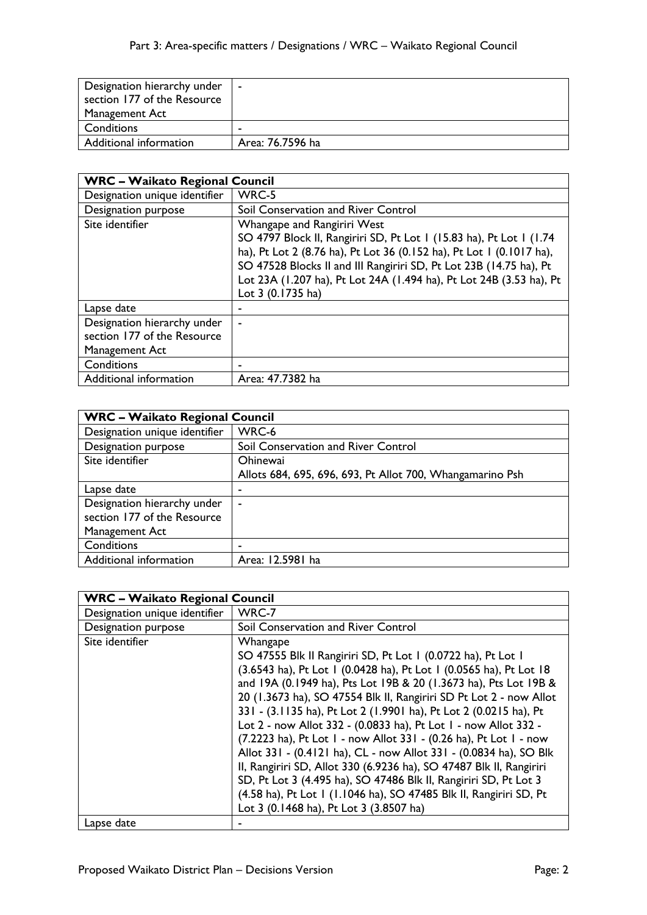| Designation hierarchy under<br>section 177 of the Resource | $\sim$           |
|------------------------------------------------------------|------------------|
| Management Act                                             |                  |
| Conditions                                                 | $\blacksquare$   |
| Additional information                                     | Area: 76.7596 ha |

| <b>WRC - Waikato Regional Council</b> |                                                                      |
|---------------------------------------|----------------------------------------------------------------------|
| Designation unique identifier         | WRC-5                                                                |
| <b>Designation purpose</b>            | Soil Conservation and River Control                                  |
| Site identifier                       | Whangape and Rangiriri West                                          |
|                                       | SO 4797 Block II, Rangiriri SD, Pt Lot 1 (15.83 ha), Pt Lot 1 (1.74  |
|                                       | ha), Pt Lot 2 (8.76 ha), Pt Lot 36 (0.152 ha), Pt Lot 1 (0.1017 ha), |
|                                       | SO 47528 Blocks II and III Rangiriri SD, Pt Lot 23B (14.75 ha), Pt   |
|                                       | Lot 23A (1.207 ha), Pt Lot 24A (1.494 ha), Pt Lot 24B (3.53 ha), Pt  |
|                                       | Lot 3 (0.1735 ha)                                                    |
| Lapse date                            |                                                                      |
| Designation hierarchy under           | $\blacksquare$                                                       |
| section 177 of the Resource           |                                                                      |
| Management Act                        |                                                                      |
| Conditions                            |                                                                      |
| Additional information                | Area: 47.7382 ha                                                     |

| <b>WRC - Waikato Regional Council</b> |                                                           |
|---------------------------------------|-----------------------------------------------------------|
| Designation unique identifier         | WRC-6                                                     |
| Designation purpose                   | Soil Conservation and River Control                       |
| Site identifier                       | <b>Ohinewai</b>                                           |
|                                       | Allots 684, 695, 696, 693, Pt Allot 700, Whangamarino Psh |
| Lapse date                            | ٠                                                         |
| Designation hierarchy under           | $\overline{\phantom{a}}$                                  |
| section 177 of the Resource           |                                                           |
| Management Act                        |                                                           |
| Conditions                            | -                                                         |
| Additional information                | Area: 12.5981 ha                                          |

| <b>WRC - Waikato Regional Council</b> |                                                                     |
|---------------------------------------|---------------------------------------------------------------------|
| Designation unique identifier         | WRC-7                                                               |
| Designation purpose                   | Soil Conservation and River Control                                 |
| Site identifier                       | Whangape                                                            |
|                                       | SO 47555 Blk II Rangiriri SD, Pt Lot 1 (0.0722 ha), Pt Lot 1        |
|                                       | (3.6543 ha), Pt Lot 1 (0.0428 ha), Pt Lot 1 (0.0565 ha), Pt Lot 18  |
|                                       | and 19A (0.1949 ha), Pts Lot 19B & 20 (1.3673 ha), Pts Lot 19B &    |
|                                       | 20 (1.3673 ha), SO 47554 Blk II, Rangiriri SD Pt Lot 2 - now Allot  |
|                                       | 331 - (3.1135 ha), Pt Lot 2 (1.9901 ha), Pt Lot 2 (0.0215 ha), Pt   |
|                                       | Lot 2 - now Allot 332 - (0.0833 ha), Pt Lot 1 - now Allot 332 -     |
|                                       | (7.2223 ha), Pt Lot 1 - now Allot 331 - (0.26 ha), Pt Lot 1 - now   |
|                                       | Allot 331 - (0.4121 ha), CL - now Allot 331 - (0.0834 ha), SO Blk   |
|                                       | II, Rangiriri SD, Allot 330 (6.9236 ha), SO 47487 Blk II, Rangiriri |
|                                       | SD, Pt Lot 3 (4.495 ha), SO 47486 Blk II, Rangiriri SD, Pt Lot 3    |
|                                       | (4.58 ha), Pt Lot 1 (1.1046 ha), SO 47485 Blk II, Rangiriri SD, Pt  |
|                                       | Lot 3 (0.1468 ha), Pt Lot 3 (3.8507 ha)                             |
| Lapse date                            |                                                                     |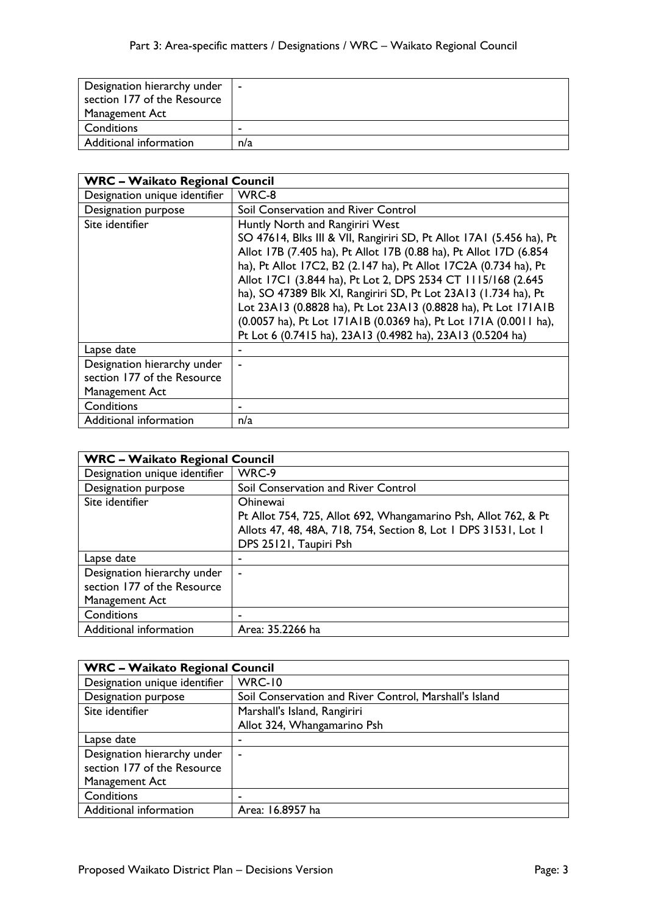| Designation hierarchy under | $\blacksquare$ |
|-----------------------------|----------------|
| section 177 of the Resource |                |
| Management Act              |                |
| Conditions                  | $\blacksquare$ |
| Additional information      | n/a            |

| <b>WRC - Waikato Regional Council</b> |                                                                      |
|---------------------------------------|----------------------------------------------------------------------|
| Designation unique identifier         | WRC-8                                                                |
| Designation purpose                   | Soil Conservation and River Control                                  |
| Site identifier                       | Huntly North and Rangiriri West                                      |
|                                       | SO 47614, Blks III & VII, Rangiriri SD, Pt Allot 17A1 (5.456 ha), Pt |
|                                       | Allot 17B (7.405 ha), Pt Allot 17B (0.88 ha), Pt Allot 17D (6.854    |
|                                       | ha), Pt Allot 17C2, B2 (2.147 ha), Pt Allot 17C2A (0.734 ha), Pt     |
|                                       | Allot 17C1 (3.844 ha), Pt Lot 2, DPS 2534 CT 1115/168 (2.645         |
|                                       | ha), SO 47389 Blk XI, Rangiriri SD, Pt Lot 23A13 (1.734 ha), Pt      |
|                                       | Lot 23A13 (0.8828 ha), Pt Lot 23A13 (0.8828 ha), Pt Lot 171A1B       |
|                                       | (0.0057 ha), Pt Lot 171A1B (0.0369 ha), Pt Lot 171A (0.0011 ha),     |
|                                       | Pt Lot 6 (0.7415 ha), 23A13 (0.4982 ha), 23A13 (0.5204 ha)           |
| Lapse date                            |                                                                      |
| Designation hierarchy under           |                                                                      |
| section 177 of the Resource           |                                                                      |
| Management Act                        |                                                                      |
| Conditions                            |                                                                      |
| Additional information                | n/a                                                                  |

| <b>WRC - Waikato Regional Council</b> |                                                                 |
|---------------------------------------|-----------------------------------------------------------------|
| Designation unique identifier         | WRC-9                                                           |
| Designation purpose                   | Soil Conservation and River Control                             |
| Site identifier                       | <b>Ohinewai</b>                                                 |
|                                       | Pt Allot 754, 725, Allot 692, Whangamarino Psh, Allot 762, & Pt |
|                                       | Allots 47, 48, 48A, 718, 754, Section 8, Lot 1 DPS 31531, Lot 1 |
|                                       | DPS 25121, Taupiri Psh                                          |
| Lapse date                            |                                                                 |
| Designation hierarchy under           | $\blacksquare$                                                  |
| section 177 of the Resource           |                                                                 |
| Management Act                        |                                                                 |
| Conditions                            |                                                                 |
| Additional information                | Area: 35.2266 ha                                                |

| <b>WRC - Waikato Regional Council</b> |                                                        |
|---------------------------------------|--------------------------------------------------------|
| Designation unique identifier         | <b>WRC-10</b>                                          |
| Designation purpose                   | Soil Conservation and River Control, Marshall's Island |
| Site identifier                       | Marshall's Island, Rangiriri                           |
|                                       | Allot 324, Whangamarino Psh                            |
| Lapse date                            | -                                                      |
| Designation hierarchy under           | $\overline{\phantom{a}}$                               |
| section 177 of the Resource           |                                                        |
| Management Act                        |                                                        |
| Conditions                            | -                                                      |
| Additional information                | Area: 16.8957 ha                                       |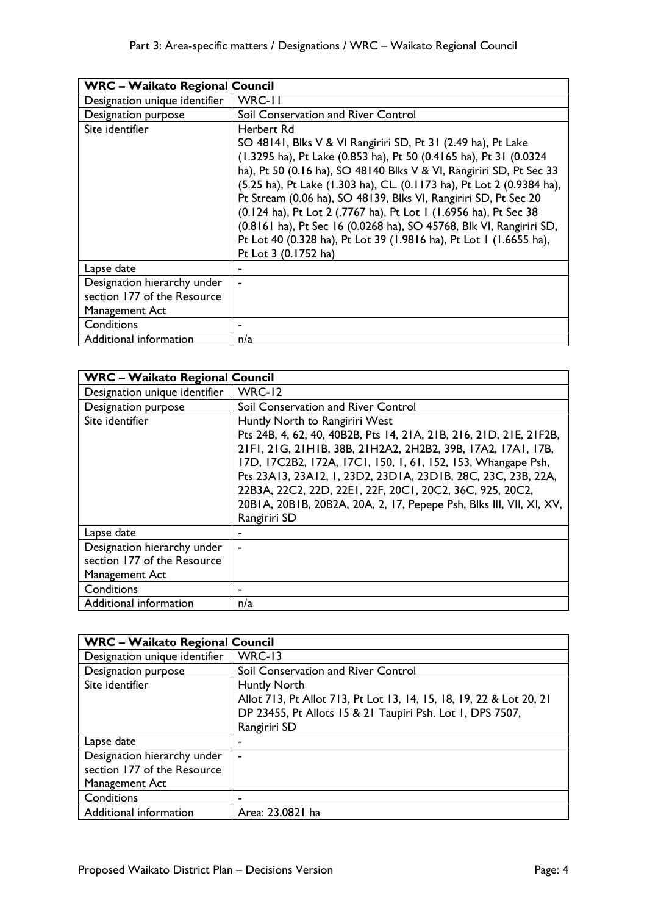| <b>WRC - Waikato Regional Council</b> |                                                                                                                                                                                                                                                                                                                                                                                                                                                                                                                                                                                                             |
|---------------------------------------|-------------------------------------------------------------------------------------------------------------------------------------------------------------------------------------------------------------------------------------------------------------------------------------------------------------------------------------------------------------------------------------------------------------------------------------------------------------------------------------------------------------------------------------------------------------------------------------------------------------|
| Designation unique identifier         | WRC-II                                                                                                                                                                                                                                                                                                                                                                                                                                                                                                                                                                                                      |
| Designation purpose                   | Soil Conservation and River Control                                                                                                                                                                                                                                                                                                                                                                                                                                                                                                                                                                         |
| Site identifier                       | Herbert Rd<br>SO 48141, Blks V & VI Rangiriri SD, Pt 31 (2.49 ha), Pt Lake<br>(1.3295 ha), Pt Lake (0.853 ha), Pt 50 (0.4165 ha), Pt 31 (0.0324<br>ha), Pt 50 (0.16 ha), SO 48140 Blks V & VI, Rangiriri SD, Pt Sec 33<br>(5.25 ha), Pt Lake (1.303 ha), CL. (0.1173 ha), Pt Lot 2 (0.9384 ha),<br>Pt Stream (0.06 ha), SO 48139, Blks VI, Rangiriri SD, Pt Sec 20<br>(0.124 ha), Pt Lot 2 (.7767 ha), Pt Lot 1 (1.6956 ha), Pt Sec 38<br>(0.8161 ha), Pt Sec 16 (0.0268 ha), SO 45768, Blk VI, Rangiriri SD,<br>Pt Lot 40 (0.328 ha), Pt Lot 39 (1.9816 ha), Pt Lot 1 (1.6655 ha),<br>Pt Lot 3 (0.1752 ha) |
| Lapse date                            |                                                                                                                                                                                                                                                                                                                                                                                                                                                                                                                                                                                                             |
| Designation hierarchy under           | ۰                                                                                                                                                                                                                                                                                                                                                                                                                                                                                                                                                                                                           |
| section 177 of the Resource           |                                                                                                                                                                                                                                                                                                                                                                                                                                                                                                                                                                                                             |
| Management Act                        |                                                                                                                                                                                                                                                                                                                                                                                                                                                                                                                                                                                                             |
| Conditions                            |                                                                                                                                                                                                                                                                                                                                                                                                                                                                                                                                                                                                             |
| Additional information                | n/a                                                                                                                                                                                                                                                                                                                                                                                                                                                                                                                                                                                                         |

| <b>WRC - Waikato Regional Council</b> |                                                                     |
|---------------------------------------|---------------------------------------------------------------------|
| Designation unique identifier         | WRC-12                                                              |
| Designation purpose                   | Soil Conservation and River Control                                 |
| Site identifier                       | Huntly North to Rangiriri West                                      |
|                                       | Pts 24B, 4, 62, 40, 40B2B, Pts 14, 21A, 21B, 216, 21D, 21E, 21F2B,  |
|                                       | 21F1, 21G, 21H1B, 38B, 21H2A2, 2H2B2, 39B, 17A2, 17A1, 17B,         |
|                                       | 17D, 17C2B2, 172A, 17C1, 150, 1, 61, 152, 153, Whangape Psh,        |
|                                       | Pts 23A13, 23A12, 1, 23D2, 23D1A, 23D1B, 28C, 23C, 23B, 22A,        |
|                                       | 22B3A, 22C2, 22D, 22EI, 22F, 20CI, 20C2, 36C, 925, 20C2,            |
|                                       | 20BIA, 20BIB, 20B2A, 20A, 2, 17, Pepepe Psh, Blks III, VII, XI, XV, |
|                                       | Rangiriri SD                                                        |
| Lapse date                            | ٠                                                                   |
| Designation hierarchy under           |                                                                     |
| section 177 of the Resource           |                                                                     |
| Management Act                        |                                                                     |
| Conditions                            | ٠                                                                   |
| Additional information                | n/a                                                                 |

| <b>WRC - Waikato Regional Council</b> |                                                                     |
|---------------------------------------|---------------------------------------------------------------------|
| Designation unique identifier         | <b>WRC-13</b>                                                       |
| Designation purpose                   | Soil Conservation and River Control                                 |
| Site identifier                       | Huntly North                                                        |
|                                       | Allot 713, Pt Allot 713, Pt Lot 13, 14, 15, 18, 19, 22 & Lot 20, 21 |
|                                       | DP 23455, Pt Allots 15 & 21 Taupiri Psh. Lot 1, DPS 7507,           |
|                                       | Rangiriri SD                                                        |
| Lapse date                            |                                                                     |
| Designation hierarchy under           | ۰                                                                   |
| section 177 of the Resource           |                                                                     |
| Management Act                        |                                                                     |
| Conditions                            |                                                                     |
| Additional information                | Area: 23.0821 ha                                                    |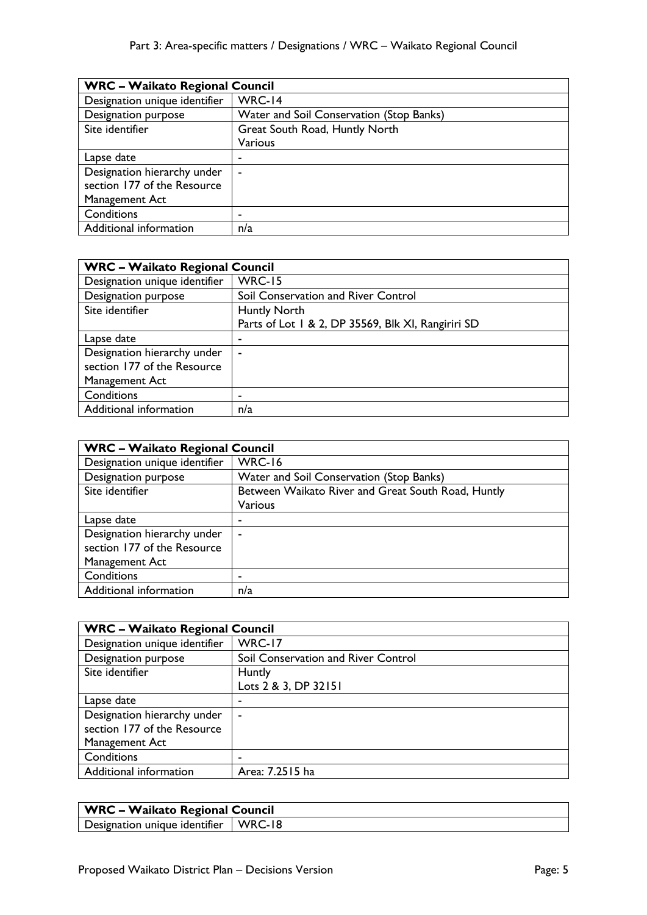| <b>WRC - Waikato Regional Council</b> |                                          |
|---------------------------------------|------------------------------------------|
| Designation unique identifier         | WRC-14                                   |
| Designation purpose                   | Water and Soil Conservation (Stop Banks) |
| Site identifier                       | Great South Road, Huntly North           |
|                                       | Various                                  |
| Lapse date                            | ٠                                        |
| Designation hierarchy under           | ۰                                        |
| section 177 of the Resource           |                                          |
| Management Act                        |                                          |
| Conditions                            |                                          |
| Additional information                | n/a                                      |

| <b>WRC - Waikato Regional Council</b> |                                                    |
|---------------------------------------|----------------------------------------------------|
| Designation unique identifier         | <b>WRC-15</b>                                      |
| Designation purpose                   | Soil Conservation and River Control                |
| Site identifier                       | <b>Huntly North</b>                                |
|                                       | Parts of Lot 1 & 2, DP 35569, Blk XI, Rangiriri SD |
| Lapse date                            | ٠                                                  |
| Designation hierarchy under           | ۰                                                  |
| section 177 of the Resource           |                                                    |
| Management Act                        |                                                    |
| Conditions                            |                                                    |
| Additional information                | n/a                                                |

| <b>WRC - Waikato Regional Council</b> |                                                    |
|---------------------------------------|----------------------------------------------------|
| Designation unique identifier         | <b>WRC-16</b>                                      |
| Designation purpose                   | Water and Soil Conservation (Stop Banks)           |
| Site identifier                       | Between Waikato River and Great South Road, Huntly |
|                                       | Various                                            |
| Lapse date                            | ۰                                                  |
| Designation hierarchy under           | ٠                                                  |
| section 177 of the Resource           |                                                    |
| Management Act                        |                                                    |
| Conditions                            | ۰                                                  |
| Additional information                | n/a                                                |

| <b>WRC - Waikato Regional Council</b> |  |
|---------------------------------------|--|
| <b>WRC-17</b>                         |  |
| Soil Conservation and River Control   |  |
| Huntly                                |  |
| Lots 2 & 3, DP 32151                  |  |
|                                       |  |
|                                       |  |
|                                       |  |
|                                       |  |
|                                       |  |
| Area: 7.2515 ha                       |  |
|                                       |  |

| <b>WRC - Waikato Regional Council</b>        |  |
|----------------------------------------------|--|
| Designation unique identifier $\vert$ WRC-18 |  |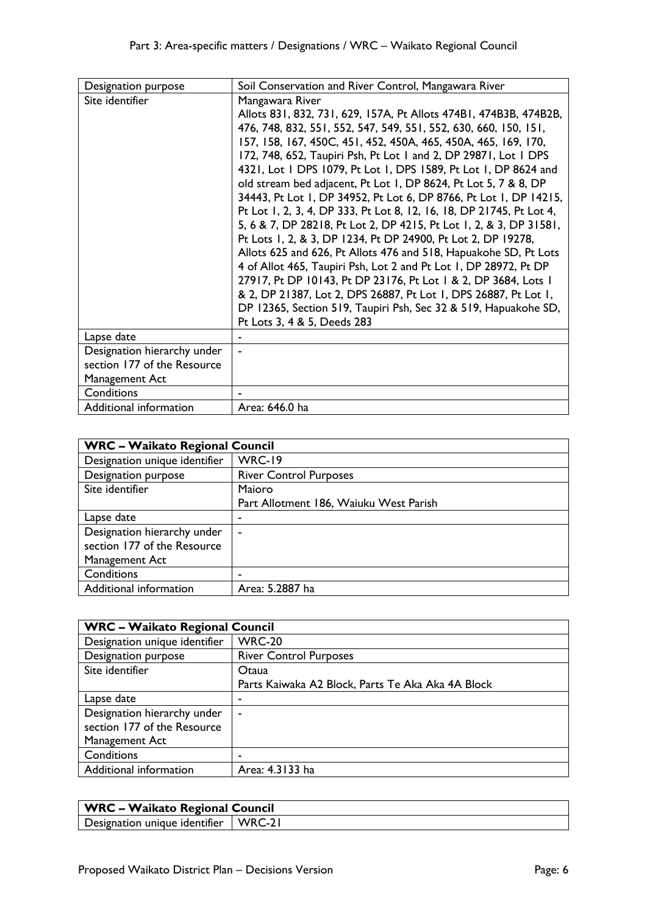| Designation purpose                                                          | Soil Conservation and River Control, Mangawara River                                                                                                                                                                                                                                                                                                                                                                                                                                                                                                                                                                                                                                                                                                                                                                                                                                                                                                                                                                                                                   |
|------------------------------------------------------------------------------|------------------------------------------------------------------------------------------------------------------------------------------------------------------------------------------------------------------------------------------------------------------------------------------------------------------------------------------------------------------------------------------------------------------------------------------------------------------------------------------------------------------------------------------------------------------------------------------------------------------------------------------------------------------------------------------------------------------------------------------------------------------------------------------------------------------------------------------------------------------------------------------------------------------------------------------------------------------------------------------------------------------------------------------------------------------------|
| Site identifier                                                              | Mangawara River<br>Allots 831, 832, 731, 629, 157A, Pt Allots 474B1, 474B3B, 474B2B,<br>476, 748, 832, 551, 552, 547, 549, 551, 552, 630, 660, 150, 151,<br>157, 158, 167, 450C, 451, 452, 450A, 465, 450A, 465, 169, 170,<br>172, 748, 652, Taupiri Psh, Pt Lot 1 and 2, DP 29871, Lot 1 DPS<br>4321, Lot 1 DPS 1079, Pt Lot 1, DPS 1589, Pt Lot 1, DP 8624 and<br>old stream bed adjacent, Pt Lot 1, DP 8624, Pt Lot 5, 7 & 8, DP<br>34443, Pt Lot 1, DP 34952, Pt Lot 6, DP 8766, Pt Lot 1, DP 14215,<br>Pt Lot 1, 2, 3, 4, DP 333, Pt Lot 8, 12, 16, 18, DP 21745, Pt Lot 4,<br>5, 6 & 7, DP 28218, Pt Lot 2, DP 4215, Pt Lot 1, 2, & 3, DP 31581,<br>Pt Lots 1, 2, & 3, DP 1234, Pt DP 24900, Pt Lot 2, DP 19278,<br>Allots 625 and 626, Pt Allots 476 and 518, Hapuakohe SD, Pt Lots<br>4 of Allot 465, Taupiri Psh, Lot 2 and Pt Lot 1, DP 28972, Pt DP<br>27917, Pt DP 10143, Pt DP 23176, Pt Lot 1 & 2, DP 3684, Lots 1<br>& 2, DP 21387, Lot 2, DPS 26887, Pt Lot 1, DPS 26887, Pt Lot 1,<br>DP 12365, Section 519, Taupiri Psh, Sec 32 & 519, Hapuakohe SD, |
| Lapse date                                                                   | Pt Lots 3, 4 & 5, Deeds 283                                                                                                                                                                                                                                                                                                                                                                                                                                                                                                                                                                                                                                                                                                                                                                                                                                                                                                                                                                                                                                            |
| Designation hierarchy under<br>section 177 of the Resource<br>Management Act |                                                                                                                                                                                                                                                                                                                                                                                                                                                                                                                                                                                                                                                                                                                                                                                                                                                                                                                                                                                                                                                                        |
| Conditions                                                                   |                                                                                                                                                                                                                                                                                                                                                                                                                                                                                                                                                                                                                                                                                                                                                                                                                                                                                                                                                                                                                                                                        |
| Additional information                                                       | Area: 646.0 ha                                                                                                                                                                                                                                                                                                                                                                                                                                                                                                                                                                                                                                                                                                                                                                                                                                                                                                                                                                                                                                                         |

| <b>WRC - Waikato Regional Council</b> |                                        |
|---------------------------------------|----------------------------------------|
| Designation unique identifier         | <b>WRC-19</b>                          |
| Designation purpose                   | <b>River Control Purposes</b>          |
| Site identifier                       | Maioro                                 |
|                                       | Part Allotment 186, Waiuku West Parish |
| Lapse date                            | ٠                                      |
| Designation hierarchy under           | ۰                                      |
| section 177 of the Resource           |                                        |
| Management Act                        |                                        |
| Conditions                            |                                        |
| Additional information                | Area: 5.2887 ha                        |

| <b>WRC - Waikato Regional Council</b> |                                                   |
|---------------------------------------|---------------------------------------------------|
| Designation unique identifier         | <b>WRC-20</b>                                     |
| Designation purpose                   | <b>River Control Purposes</b>                     |
| Site identifier                       | Otaua                                             |
|                                       | Parts Kaiwaka A2 Block, Parts Te Aka Aka 4A Block |
| Lapse date                            | ٠                                                 |
| Designation hierarchy under           | $\blacksquare$                                    |
| section 177 of the Resource           |                                                   |
| Management Act                        |                                                   |
| Conditions                            | -                                                 |
| Additional information                | Area: 4.3133 ha                                   |

| <b>WRC - Waikato Regional Council</b>  |  |
|----------------------------------------|--|
| Designation unique identifier   WRC-21 |  |